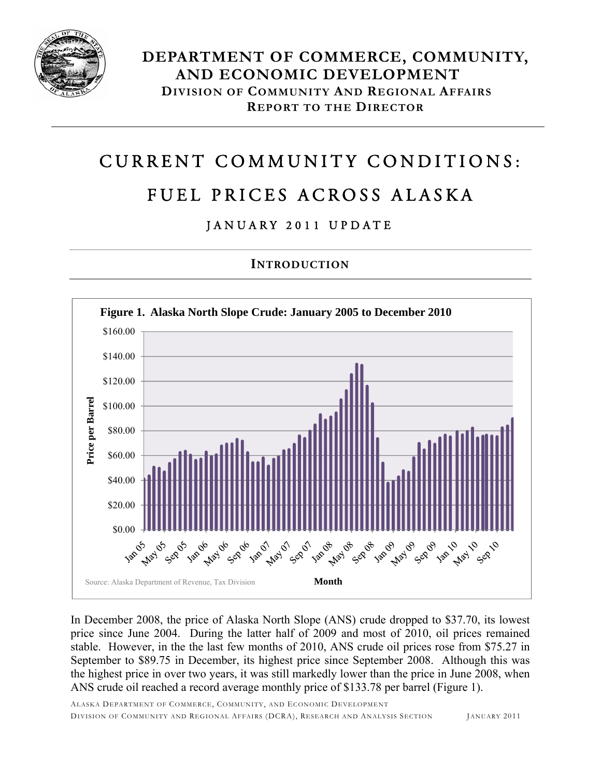

# CURRENT COMMUNITY CONDITIONS:

## FUEL PRICES ACROSS ALASKA

### JANUARY 2011 UPDATE

#### **INTRODUCTION**



In December 2008, the price of Alaska North Slope (ANS) crude dropped to \$37.70, its lowest price since June 2004. During the latter half of 2009 and most of 2010, oil prices remained stable. However, in the the last few months of 2010, ANS crude oil prices rose from \$75.27 in September to \$89.75 in December, its highest price since September 2008. Although this was the highest price in over two years, it was still markedly lower than the price in June 2008, when ANS crude oil reached a record average monthly price of \$133.78 per barrel (Figure 1).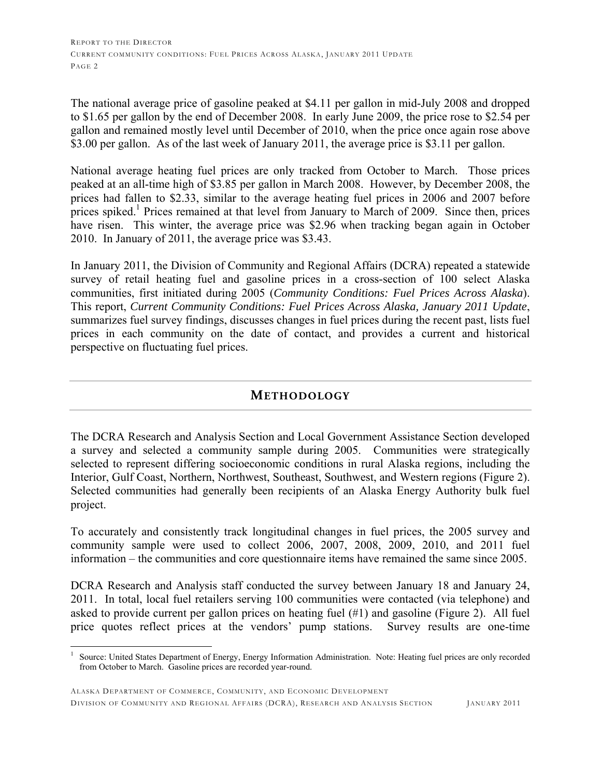The national average price of gasoline peaked at \$4.11 per gallon in mid-July 2008 and dropped to \$1.65 per gallon by the end of December 2008. In early June 2009, the price rose to \$2.54 per gallon and remained mostly level until December of 2010, when the price once again rose above \$3.00 per gallon. As of the last week of January 2011, the average price is \$3.11 per gallon.

National average heating fuel prices are only tracked from October to March. Those prices peaked at an all-time high of \$3.85 per gallon in March 2008. However, by December 2008, the prices had fallen to \$2.33, similar to the average heating fuel prices in 2006 and 2007 before prices spiked.<sup>1</sup> Prices remained at that level from January to March of 2009. Since then, prices have risen. This winter, the average price was \$2.96 when tracking began again in October 2010. In January of 2011, the average price was \$3.43.

In January 2011, the Division of Community and Regional Affairs (DCRA) repeated a statewide survey of retail heating fuel and gasoline prices in a cross-section of 100 select Alaska communities, first initiated during 2005 (*Community Conditions: Fuel Prices Across Alaska*). This report, *Current Community Conditions: Fuel Prices Across Alaska, January 2011 Update*, summarizes fuel survey findings, discusses changes in fuel prices during the recent past, lists fuel prices in each community on the date of contact, and provides a current and historical perspective on fluctuating fuel prices.

#### **METHODOLOGY**

The DCRA Research and Analysis Section and Local Government Assistance Section developed a survey and selected a community sample during 2005. Communities were strategically selected to represent differing socioeconomic conditions in rural Alaska regions, including the Interior, Gulf Coast, Northern, Northwest, Southeast, Southwest, and Western regions (Figure 2). Selected communities had generally been recipients of an Alaska Energy Authority bulk fuel project.

To accurately and consistently track longitudinal changes in fuel prices, the 2005 survey and community sample were used to collect 2006, 2007, 2008, 2009, 2010, and 2011 fuel information – the communities and core questionnaire items have remained the same since 2005.

DCRA Research and Analysis staff conducted the survey between January 18 and January 24, 2011. In total, local fuel retailers serving 100 communities were contacted (via telephone) and asked to provide current per gallon prices on heating fuel (#1) and gasoline (Figure 2). All fuel price quotes reflect prices at the vendors' pump stations. Survey results are one-time

 $\overline{a}$ 

<sup>1</sup> Source: United States Department of Energy, Energy Information Administration. Note: Heating fuel prices are only recorded from October to March. Gasoline prices are recorded year-round.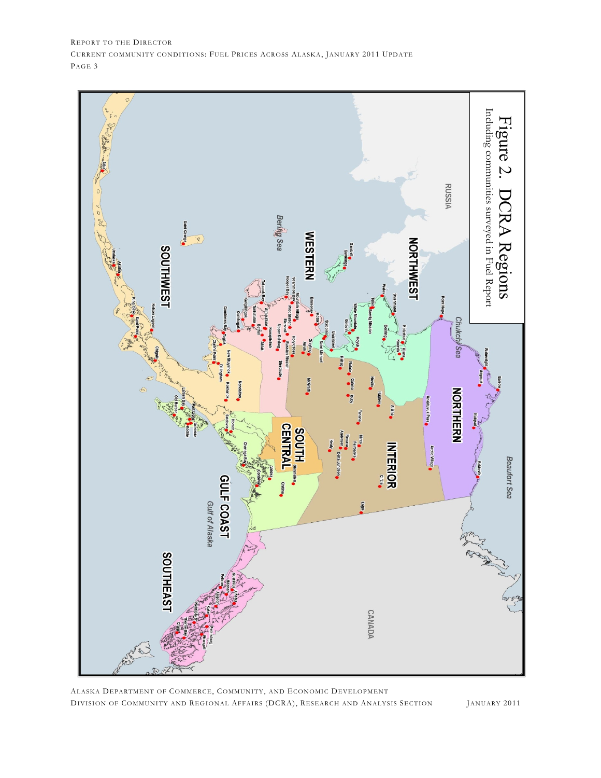

ALASKA DEPARTMENT OF COMMERCE, COMMUNITY, AND ECONOMIC DEVELOPMENT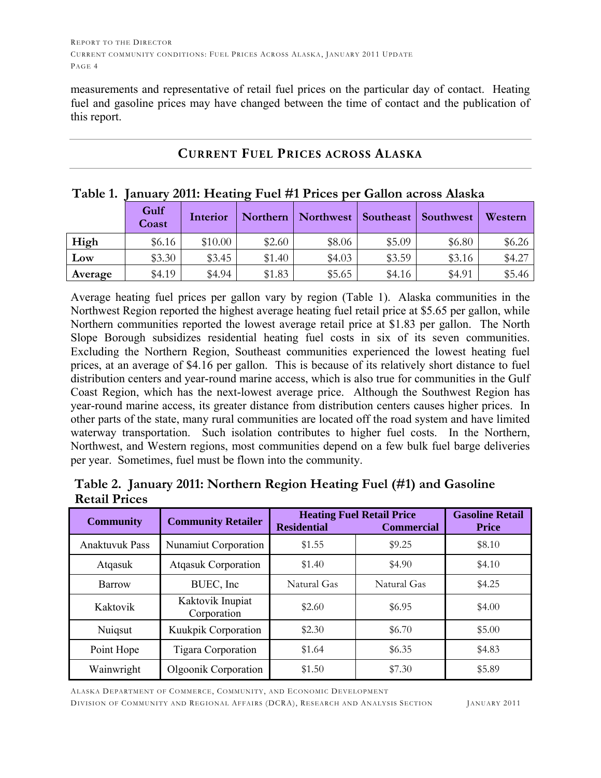measurements and representative of retail fuel prices on the particular day of contact. Heating fuel and gasoline prices may have changed between the time of contact and the publication of this report.

| Table 1. January 2011: Heating Fuel #1 Prices per Gallon across Alaska |               |          |        |                                              |        |        |         |  |  |  |  |
|------------------------------------------------------------------------|---------------|----------|--------|----------------------------------------------|--------|--------|---------|--|--|--|--|
|                                                                        | Gulf<br>Coast | Interior |        | Northern   Northwest   Southeast   Southwest |        |        | Western |  |  |  |  |
| High                                                                   | \$6.16        | \$10.00  | \$2.60 | \$8.06                                       | \$5.09 | \$6.80 | \$6.26  |  |  |  |  |
| Low                                                                    | \$3.30        | \$3.45   | \$1.40 | \$4.03\$                                     | \$3.59 | \$3.16 | \$4.27  |  |  |  |  |
| Average                                                                | \$4.19        | \$4.94   | \$1.83 | \$5.65                                       | \$4.16 | \$4.91 | \$5.46  |  |  |  |  |

#### **CURRENT FUEL PRICES ACROSS ALASKA**

#### Average heating fuel prices per gallon vary by region (Table 1). Alaska communities in the Northwest Region reported the highest average heating fuel retail price at \$5.65 per gallon, while Northern communities reported the lowest average retail price at \$1.83 per gallon. The North Slope Borough subsidizes residential heating fuel costs in six of its seven communities. Excluding the Northern Region, Southeast communities experienced the lowest heating fuel prices, at an average of \$4.16 per gallon. This is because of its relatively short distance to fuel distribution centers and year-round marine access, which is also true for communities in the Gulf Coast Region, which has the next-lowest average price. Although the Southwest Region has year-round marine access, its greater distance from distribution centers causes higher prices. In other parts of the state, many rural communities are located off the road system and have limited waterway transportation. Such isolation contributes to higher fuel costs. In the Northern, Northwest, and Western regions, most communities depend on a few bulk fuel barge deliveries per year. Sometimes, fuel must be flown into the community.

|                      | Table 2. January 2011: Northern Region Heating Fuel (#1) and Gasoline |  |  |  |
|----------------------|-----------------------------------------------------------------------|--|--|--|
| <b>Retail Prices</b> |                                                                       |  |  |  |

| <b>Community</b>      | <b>Community Retailer</b>       | <b>Residential</b> | <b>Heating Fuel Retail Price</b><br><b>Commercial</b> | <b>Gasoline Retail</b><br><b>Price</b> |
|-----------------------|---------------------------------|--------------------|-------------------------------------------------------|----------------------------------------|
| <b>Anaktuvuk Pass</b> | Nunamiut Corporation            | \$1.55             | \$9.25                                                | \$8.10                                 |
| Atqasuk               | <b>Atgasuk Corporation</b>      | \$1.40             | \$4.90                                                | \$4.10                                 |
| Barrow                | BUEC, Inc.                      | Natural Gas        | Natural Gas                                           | \$4.25                                 |
| Kaktovik              | Kaktovik Inupiat<br>Corporation | \$2.60             | \$6.95                                                | \$4.00                                 |
| Nuiqsut               | Kuukpik Corporation             | \$2.30             | \$6.70                                                | \$5.00                                 |
| Point Hope            | Tigara Corporation              | \$1.64             | \$6.35                                                | \$4.83                                 |
| Wainwright            | Olgoonik Corporation            | \$1.50             | \$7.30                                                | \$5.89                                 |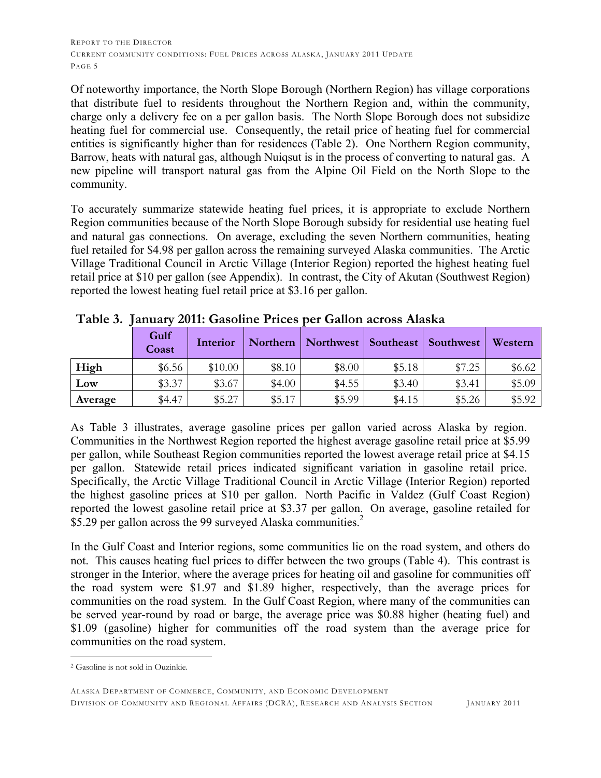Of noteworthy importance, the North Slope Borough (Northern Region) has village corporations that distribute fuel to residents throughout the Northern Region and, within the community, charge only a delivery fee on a per gallon basis. The North Slope Borough does not subsidize heating fuel for commercial use. Consequently, the retail price of heating fuel for commercial entities is significantly higher than for residences (Table 2). One Northern Region community, Barrow, heats with natural gas, although Nuiqsut is in the process of converting to natural gas. A new pipeline will transport natural gas from the Alpine Oil Field on the North Slope to the community.

To accurately summarize statewide heating fuel prices, it is appropriate to exclude Northern Region communities because of the North Slope Borough subsidy for residential use heating fuel and natural gas connections. On average, excluding the seven Northern communities, heating fuel retailed for \$4.98 per gallon across the remaining surveyed Alaska communities. The Arctic Village Traditional Council in Arctic Village (Interior Region) reported the highest heating fuel retail price at \$10 per gallon (see Appendix). In contrast, the City of Akutan (Southwest Region) reported the lowest heating fuel retail price at \$3.16 per gallon.

| $\cdot$ | Gulf<br>Coast | Interior | Northern | Northwest | Southeast | Southwest | Western |
|---------|---------------|----------|----------|-----------|-----------|-----------|---------|
| High    | \$6.56        | \$10.00  | \$8.10   | \$8.00    | \$5.18    | \$7.25    | \$6.62  |
| Low     | \$3.37        | \$3.67   | \$4.00   | \$4.55    | \$3.40    | \$3.41    | \$5.09  |
| Average | \$4.47        | \$5.27   | \$5.17   | \$5.99    | \$4.15    | \$5.26    | \$5.92  |

**Table 3. January 2011: Gasoline Prices per Gallon across Alaska**

As Table 3 illustrates, average gasoline prices per gallon varied across Alaska by region. Communities in the Northwest Region reported the highest average gasoline retail price at \$5.99 per gallon, while Southeast Region communities reported the lowest average retail price at \$4.15 per gallon. Statewide retail prices indicated significant variation in gasoline retail price. Specifically, the Arctic Village Traditional Council in Arctic Village (Interior Region) reported the highest gasoline prices at \$10 per gallon. North Pacific in Valdez (Gulf Coast Region) reported the lowest gasoline retail price at \$3.37 per gallon. On average, gasoline retailed for \$5.29 per gallon across the 99 surveyed Alaska communities.<sup>2</sup>

In the Gulf Coast and Interior regions, some communities lie on the road system, and others do not. This causes heating fuel prices to differ between the two groups (Table 4). This contrast is stronger in the Interior, where the average prices for heating oil and gasoline for communities off the road system were \$1.97 and \$1.89 higher, respectively, than the average prices for communities on the road system. In the Gulf Coast Region, where many of the communities can be served year-round by road or barge, the average price was \$0.88 higher (heating fuel) and \$1.09 (gasoline) higher for communities off the road system than the average price for communities on the road system.

 $\overline{a}$ 2 Gasoline is not sold in Ouzinkie.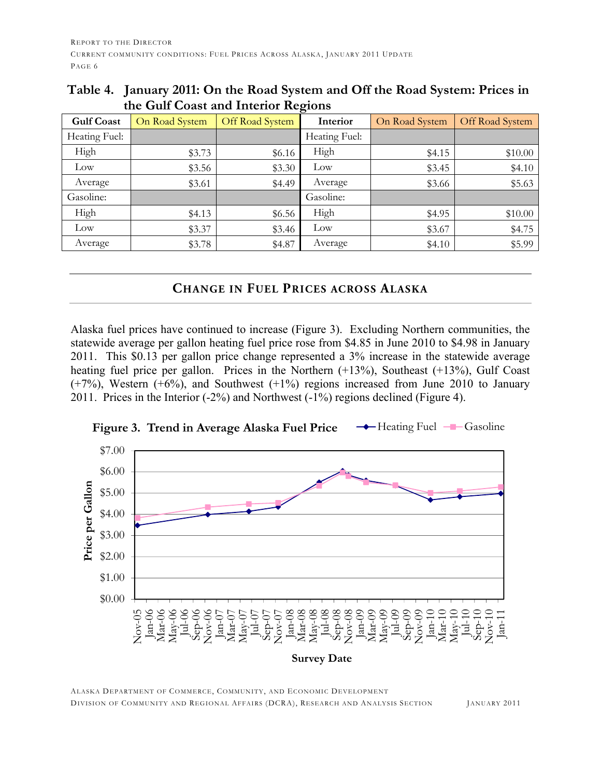| <b>Gulf Coast</b> | On Road System | Off Road System | $\circ$<br>Interior | On Road System | Off Road System |
|-------------------|----------------|-----------------|---------------------|----------------|-----------------|
| Heating Fuel:     |                |                 | Heating Fuel:       |                |                 |
| High              | \$3.73         | \$6.16          | High                | \$4.15         | \$10.00         |
| Low               | \$3.56         | \$3.30          | Low                 | \$3.45         | \$4.10          |
| Average           | \$3.61         | \$4.49          | Average             | \$3.66         | \$5.63          |
| Gasoline:         |                |                 | Gasoline:           |                |                 |
| High              | \$4.13         | \$6.56          | High                | \$4.95         | \$10.00         |
| Low               | \$3.37         | \$3.46          | Low                 | \$3.67         | \$4.75          |
| Average           | \$3.78         | \$4.87          | Average             | \$4.10         | \$5.99          |

**Table 4. January 2011: On the Road System and Off the Road System: Prices in the Gulf Coast and Interior Regions** 

#### **CHANGE IN FUEL PRICES ACROSS ALASKA**

Alaska fuel prices have continued to increase (Figure 3). Excluding Northern communities, the statewide average per gallon heating fuel price rose from \$4.85 in June 2010 to \$4.98 in January 2011. This \$0.13 per gallon price change represented a 3% increase in the statewide average heating fuel price per gallon. Prices in the Northern  $(+13%)$ , Southeast  $(+13%)$ , Gulf Coast  $(+7%)$ , Western  $(+6%)$ , and Southwest  $(+1%)$  regions increased from June 2010 to January 2011. Prices in the Interior (-2%) and Northwest (-1%) regions declined (Figure 4).



**Figure 3. Trend in Average Alaska Fuel Price**  $\rightarrow$  Heating Fuel  $-\rightarrow$  Gasoline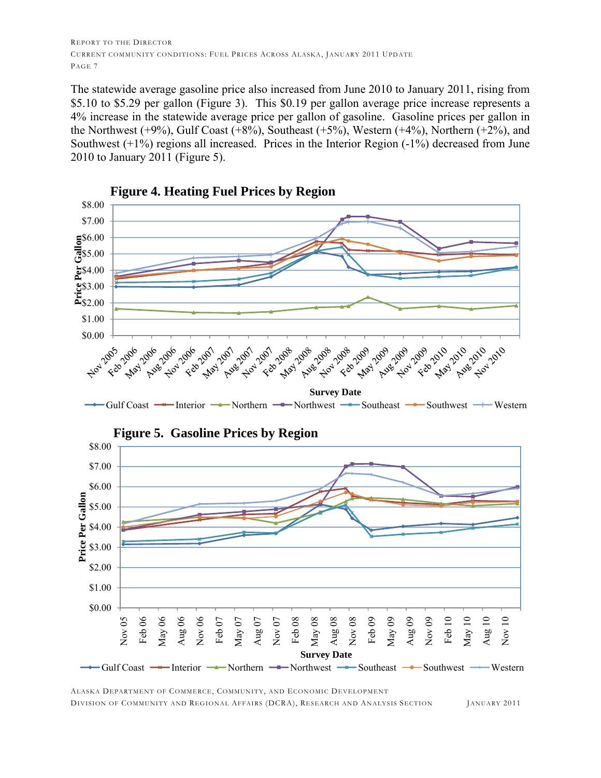The statewide average gasoline price also increased from June 2010 to January 2011, rising from \$5.10 to \$5.29 per gallon (Figure 3). This \$0.19 per gallon average price increase represents a 4% increase in the statewide average price per gallon of gasoline. Gasoline prices per gallon in the Northwest  $(+9\%)$ , Gulf Coast  $(+8\%)$ , Southeast  $(+5\%)$ , Western  $(+4\%)$ , Northern  $(+2\%)$ , and Southwest  $(+1%)$  regions all increased. Prices in the Interior Region  $(-1%)$  decreased from June 2010 to January 2011 (Figure 5).



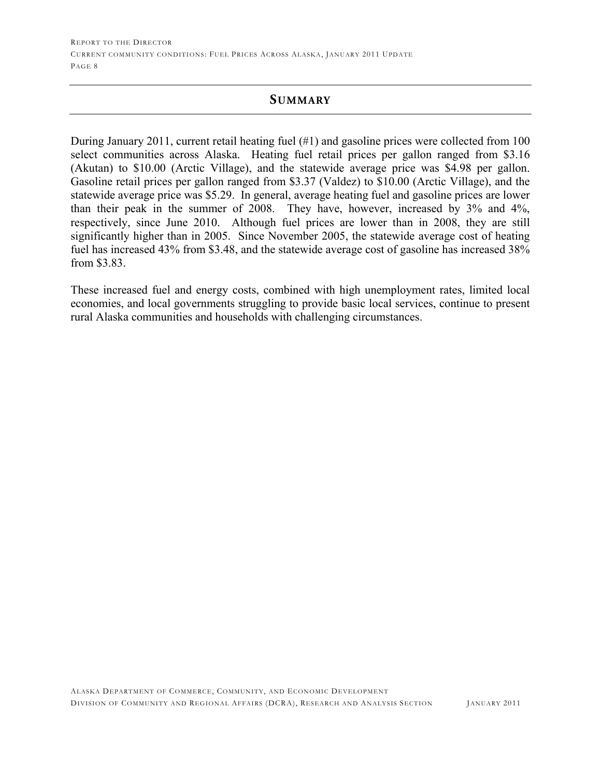#### **SUMMARY**

During January 2011, current retail heating fuel (#1) and gasoline prices were collected from 100 select communities across Alaska. Heating fuel retail prices per gallon ranged from \$3.16 (Akutan) to \$10.00 (Arctic Village), and the statewide average price was \$4.98 per gallon. Gasoline retail prices per gallon ranged from \$3.37 (Valdez) to \$10.00 (Arctic Village), and the statewide average price was \$5.29. In general, average heating fuel and gasoline prices are lower than their peak in the summer of 2008. They have, however, increased by 3% and 4%, respectively, since June 2010. Although fuel prices are lower than in 2008, they are still significantly higher than in 2005. Since November 2005, the statewide average cost of heating fuel has increased 43% from \$3.48, and the statewide average cost of gasoline has increased 38% from \$3.83.

These increased fuel and energy costs, combined with high unemployment rates, limited local economies, and local governments struggling to provide basic local services, continue to present rural Alaska communities and households with challenging circumstances.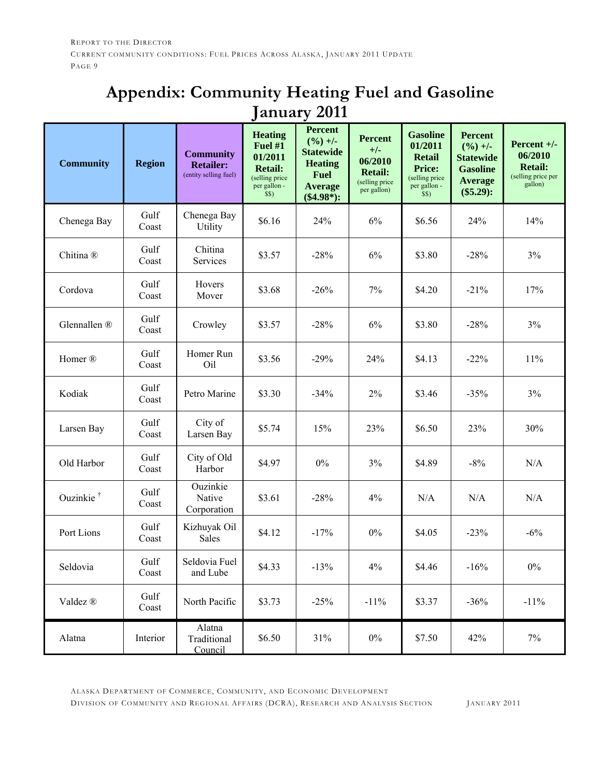### **Appendix: Community Heating Fuel and Gasoline January 2011**

| <b>Community</b>      | <b>Region</b> | <b>Community</b><br><b>Retailer:</b><br>(entity selling fuel) | <b>Heating</b><br>Fuel #1<br>01/2011<br><b>Retail:</b><br>(selling price<br>per gallon -<br>\$S) | <b>Percent</b><br>$(%)+/-$<br><b>Statewide</b><br><b>Heating</b><br><b>Fuel</b><br><b>Average</b><br>$(\$4.98*)$ : | <b>Percent</b><br>$+/-$<br>06/2010<br><b>Retail:</b><br>(selling price<br>per gallon) | <b>Gasoline</b><br>01/2011<br><b>Retail</b><br><b>Price:</b><br>(selling price<br>per gallon -<br>\$\$) | <b>Percent</b><br>$(\frac{9}{6}) +/-$<br><b>Statewide</b><br><b>Gasoline</b><br><b>Average</b><br>$(\$5.29):$ | Percent $+/-$<br>06/2010<br><b>Retail:</b><br>(selling price per<br>gallon) |
|-----------------------|---------------|---------------------------------------------------------------|--------------------------------------------------------------------------------------------------|--------------------------------------------------------------------------------------------------------------------|---------------------------------------------------------------------------------------|---------------------------------------------------------------------------------------------------------|---------------------------------------------------------------------------------------------------------------|-----------------------------------------------------------------------------|
| Chenega Bay           | Gulf<br>Coast | Chenega Bay<br>Utility                                        | \$6.16                                                                                           | 24%                                                                                                                | 6%                                                                                    | \$6.56                                                                                                  | 24%                                                                                                           | 14%                                                                         |
| Chitina <sup>®</sup>  | Gulf<br>Coast | Chitina<br>Services                                           | \$3.57                                                                                           | $-28%$                                                                                                             | 6%                                                                                    | \$3.80                                                                                                  | $-28%$                                                                                                        | 3%                                                                          |
| Cordova               | Gulf<br>Coast | Hovers<br>Mover                                               | \$3.68                                                                                           | $-26%$                                                                                                             | 7%                                                                                    | \$4.20                                                                                                  | $-21%$                                                                                                        | 17%                                                                         |
| Glennallen ®          | Gulf<br>Coast | Crowley                                                       | \$3.57                                                                                           | $-28%$                                                                                                             | 6%                                                                                    | \$3.80                                                                                                  | $-28%$                                                                                                        | 3%                                                                          |
| Homer <sup>®</sup>    | Gulf<br>Coast | Homer Run<br>Oil                                              | \$3.56                                                                                           | $-29%$                                                                                                             | 24%                                                                                   | \$4.13                                                                                                  | $-22%$                                                                                                        | 11%                                                                         |
| Kodiak                | Gulf<br>Coast | Petro Marine                                                  | \$3.30                                                                                           | $-34%$                                                                                                             | $2\%$                                                                                 | \$3.46                                                                                                  | $-35%$                                                                                                        | 3%                                                                          |
| Larsen Bay            | Gulf<br>Coast | City of<br>Larsen Bay                                         | \$5.74                                                                                           | 15%                                                                                                                | 23%                                                                                   | \$6.50                                                                                                  | 23%                                                                                                           | 30%                                                                         |
| Old Harbor            | Gulf<br>Coast | City of Old<br>Harbor                                         | \$4.97                                                                                           | $0\%$                                                                                                              | 3%                                                                                    | \$4.89                                                                                                  | $-8%$                                                                                                         | N/A                                                                         |
| Ouzinkie <sup>†</sup> | Gulf<br>Coast | Ouzinkie<br>Native<br>Corporation                             | \$3.61                                                                                           | $-28%$                                                                                                             | 4%                                                                                    | N/A                                                                                                     | N/A                                                                                                           | N/A                                                                         |
| Port Lions            | Gulf<br>Coast | Kizhuyak Oil<br>Sales                                         | \$4.12                                                                                           | $-17%$                                                                                                             | $0\%$                                                                                 | \$4.05                                                                                                  | $-23%$                                                                                                        | $-6%$                                                                       |
| Seldovia              | Gulf<br>Coast | Seldovia Fuel<br>and Lube                                     | \$4.33                                                                                           | $-13%$                                                                                                             | 4%                                                                                    | \$4.46                                                                                                  | $-16%$                                                                                                        | $0\%$                                                                       |
| Valdez ®              | Gulf<br>Coast | North Pacific                                                 | \$3.73                                                                                           | $-25%$                                                                                                             | $-11%$                                                                                | \$3.37                                                                                                  | $-36%$                                                                                                        | $-11%$                                                                      |
| Alatna                | Interior      | Alatna<br>Traditional<br>Council                              | \$6.50                                                                                           | 31%                                                                                                                | $0\%$                                                                                 | \$7.50                                                                                                  | 42%                                                                                                           | $7\%$                                                                       |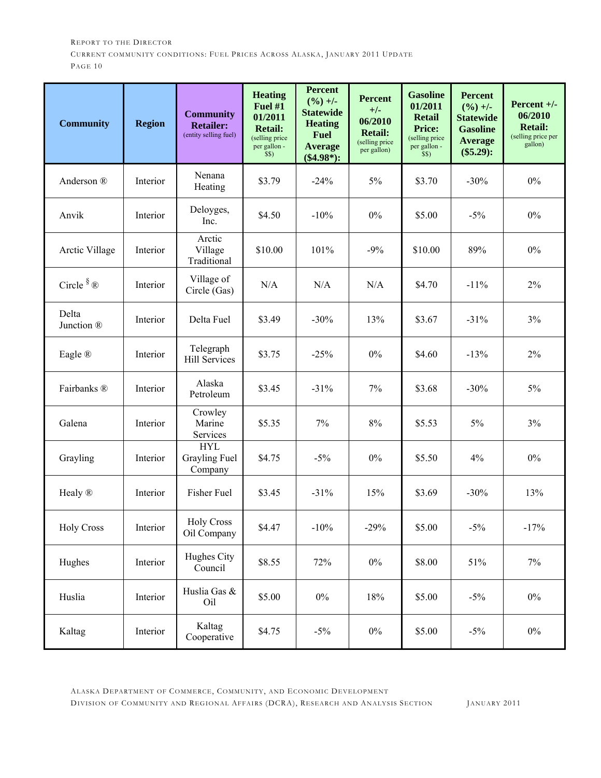| <b>Community</b>              | <b>Region</b> | <b>Community</b><br><b>Retailer:</b><br>(entity selling fuel) | <b>Heating</b><br><b>Fuel #1</b><br>01/2011<br><b>Retail:</b><br>(selling price<br>per gallon -<br>\$\$) | <b>Percent</b><br>$(\frac{9}{6}) +$ -<br><b>Statewide</b><br><b>Heating</b><br><b>Fuel</b><br><b>Average</b><br>$(\$4.98^*):$ | <b>Percent</b><br>$+/-$<br>06/2010<br><b>Retail:</b><br>(selling price<br>per gallon) | <b>Gasoline</b><br>01/2011<br><b>Retail</b><br><b>Price:</b><br>(selling price<br>per gallon -<br>\$\$) | <b>Percent</b><br>$(\frac{9}{6}) +$ /-<br><b>Statewide</b><br><b>Gasoline</b><br>Average<br>$(\$5.29):$ | Percent $+/-$<br>06/2010<br><b>Retail:</b><br>(selling price per<br>gallon) |
|-------------------------------|---------------|---------------------------------------------------------------|----------------------------------------------------------------------------------------------------------|-------------------------------------------------------------------------------------------------------------------------------|---------------------------------------------------------------------------------------|---------------------------------------------------------------------------------------------------------|---------------------------------------------------------------------------------------------------------|-----------------------------------------------------------------------------|
| Anderson ®                    | Interior      | Nenana<br>Heating                                             | \$3.79                                                                                                   | $-24%$                                                                                                                        | $5\%$                                                                                 | \$3.70                                                                                                  | $-30%$                                                                                                  | $0\%$                                                                       |
| Anvik                         | Interior      | Deloyges,<br>Inc.                                             | \$4.50                                                                                                   | $-10%$                                                                                                                        | $0\%$                                                                                 | \$5.00                                                                                                  | $-5%$                                                                                                   | $0\%$                                                                       |
| Arctic Village                | Interior      | Arctic<br>Village<br>Traditional                              | \$10.00                                                                                                  | 101%                                                                                                                          | $-9%$                                                                                 | \$10.00                                                                                                 | 89%                                                                                                     | $0\%$                                                                       |
| Circle $\sqrt[8]{\mathbb{R}}$ | Interior      | Village of<br>Circle (Gas)                                    | N/A                                                                                                      | N/A                                                                                                                           | N/A                                                                                   | \$4.70                                                                                                  | $-11%$                                                                                                  | $2\%$                                                                       |
| Delta<br>Junction ®           | Interior      | Delta Fuel                                                    | \$3.49                                                                                                   | $-30%$                                                                                                                        | 13%                                                                                   | \$3.67                                                                                                  | $-31%$                                                                                                  | 3%                                                                          |
| Eagle ®                       | Interior      | Telegraph<br><b>Hill Services</b>                             | \$3.75                                                                                                   | $-25%$                                                                                                                        | $0\%$                                                                                 | \$4.60                                                                                                  | $-13%$                                                                                                  | $2\%$                                                                       |
| Fairbanks ®                   | Interior      | Alaska<br>Petroleum                                           | \$3.45                                                                                                   | $-31%$                                                                                                                        | 7%                                                                                    | \$3.68                                                                                                  | $-30%$                                                                                                  | $5\%$                                                                       |
| Galena                        | Interior      | Crowley<br>Marine<br>Services                                 | \$5.35                                                                                                   | 7%                                                                                                                            | $8\%$                                                                                 | \$5.53                                                                                                  | 5%                                                                                                      | 3%                                                                          |
| Grayling                      | Interior      | <b>HYL</b><br><b>Grayling Fuel</b><br>Company                 | \$4.75                                                                                                   | $-5%$                                                                                                                         | $0\%$                                                                                 | \$5.50                                                                                                  | 4%                                                                                                      | $0\%$                                                                       |
| Healy ®                       | Interior      | Fisher Fuel                                                   | \$3.45                                                                                                   | $-31%$                                                                                                                        | 15%                                                                                   | \$3.69                                                                                                  | $-30%$                                                                                                  | 13%                                                                         |
| <b>Holy Cross</b>             | Interior      | <b>Holy Cross</b><br>Oil Company                              | \$4.47                                                                                                   | $-10%$                                                                                                                        | $-29%$                                                                                | \$5.00                                                                                                  | $-5\%$                                                                                                  | $-17%$                                                                      |
| Hughes                        | Interior      | Hughes City<br>Council                                        | \$8.55                                                                                                   | 72%                                                                                                                           | $0\%$                                                                                 | \$8.00                                                                                                  | 51%                                                                                                     | $7\%$                                                                       |
| Huslia                        | Interior      | Huslia Gas &<br>Oil                                           | \$5.00                                                                                                   | $0\%$                                                                                                                         | 18%                                                                                   | \$5.00                                                                                                  | $-5\%$                                                                                                  | $0\%$                                                                       |
| Kaltag                        | Interior      | Kaltag<br>Cooperative                                         | \$4.75                                                                                                   | $-5\%$                                                                                                                        | $0\%$                                                                                 | \$5.00                                                                                                  | $-5\%$                                                                                                  | $0\%$                                                                       |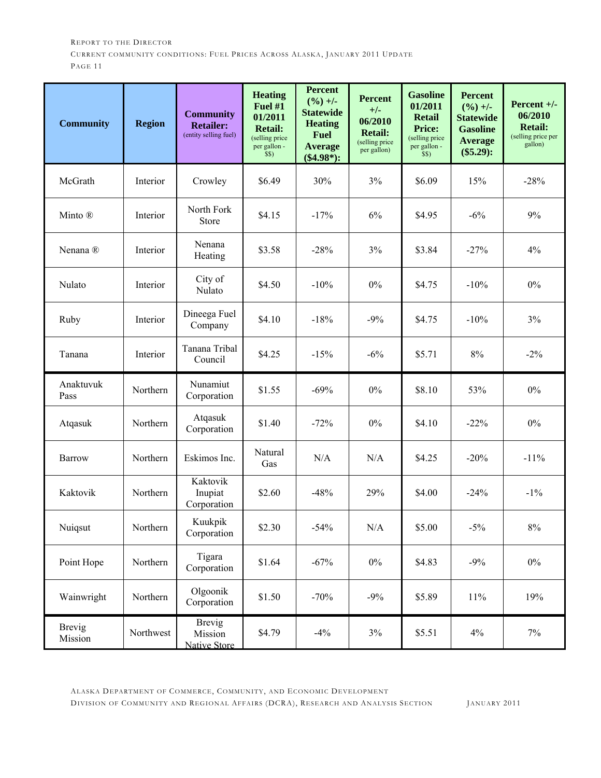| <b>Community</b>         | <b>Region</b> | <b>Community</b><br><b>Retailer:</b><br>(entity selling fuel) | <b>Heating</b><br>Fuel #1<br>01/2011<br><b>Retail:</b><br>(selling price<br>per gallon -<br>\$\$) | <b>Percent</b><br>$(\frac{9}{6}) +$ -<br><b>Statewide</b><br><b>Heating</b><br><b>Fuel</b><br><b>Average</b><br>$(\$4.98^*):$ | <b>Percent</b><br>$+/-$<br>06/2010<br><b>Retail:</b><br>(selling price<br>per gallon) | <b>Gasoline</b><br>01/2011<br><b>Retail</b><br><b>Price:</b><br>(selling price<br>per gallon -<br>\$\$) | <b>Percent</b><br>$(\frac{9}{6}) +/-$<br><b>Statewide</b><br><b>Gasoline</b><br><b>Average</b><br>$(\$5.29):$ | Percent $+/-$<br>06/2010<br><b>Retail:</b><br>(selling price per<br>gallon) |
|--------------------------|---------------|---------------------------------------------------------------|---------------------------------------------------------------------------------------------------|-------------------------------------------------------------------------------------------------------------------------------|---------------------------------------------------------------------------------------|---------------------------------------------------------------------------------------------------------|---------------------------------------------------------------------------------------------------------------|-----------------------------------------------------------------------------|
| McGrath                  | Interior      | Crowley                                                       | \$6.49                                                                                            | 30%                                                                                                                           | 3%                                                                                    | \$6.09                                                                                                  | 15%                                                                                                           | $-28%$                                                                      |
| Minto ®                  | Interior      | North Fork<br>Store                                           | \$4.15                                                                                            | $-17%$                                                                                                                        | 6%                                                                                    | \$4.95                                                                                                  | $-6%$                                                                                                         | 9%                                                                          |
| Nenana <sup>®</sup>      | Interior      | Nenana<br>Heating                                             | \$3.58                                                                                            | $-28%$                                                                                                                        | 3%                                                                                    | \$3.84                                                                                                  | $-27%$                                                                                                        | 4%                                                                          |
| Nulato                   | Interior      | City of<br>Nulato                                             | \$4.50                                                                                            | $-10%$                                                                                                                        | 0%                                                                                    | \$4.75                                                                                                  | $-10%$                                                                                                        | $0\%$                                                                       |
| Ruby                     | Interior      | Dineega Fuel<br>Company                                       | \$4.10                                                                                            | $-18%$                                                                                                                        | $-9%$                                                                                 | \$4.75                                                                                                  | $-10%$                                                                                                        | 3%                                                                          |
| Tanana                   | Interior      | Tanana Tribal<br>Council                                      | \$4.25                                                                                            | $-15%$                                                                                                                        | $-6\%$                                                                                | \$5.71                                                                                                  | 8%                                                                                                            | $-2\%$                                                                      |
| Anaktuvuk<br>Pass        | Northern      | Nunamiut<br>Corporation                                       | \$1.55                                                                                            | $-69%$                                                                                                                        | $0\%$                                                                                 | \$8.10                                                                                                  | 53%                                                                                                           | $0\%$                                                                       |
| Atqasuk                  | Northern      | Atqasuk<br>Corporation                                        | \$1.40                                                                                            | $-72%$                                                                                                                        | $0\%$                                                                                 | \$4.10                                                                                                  | $-22%$                                                                                                        | $0\%$                                                                       |
| Barrow                   | Northern      | Eskimos Inc.                                                  | Natural<br>Gas                                                                                    | N/A                                                                                                                           | N/A                                                                                   | \$4.25                                                                                                  | $-20%$                                                                                                        | $-11%$                                                                      |
| Kaktovik                 | Northern      | Kaktovik<br>Inupiat<br>Corporation                            | \$2.60                                                                                            | $-48%$                                                                                                                        | 29%                                                                                   | \$4.00                                                                                                  | $-24%$                                                                                                        | $-1\%$                                                                      |
| Nuiqsut                  | Northern      | Kuukpik<br>Corporation                                        | \$2.30                                                                                            | $-54%$                                                                                                                        | N/A                                                                                   | \$5.00                                                                                                  | $-5\%$                                                                                                        | $8\%$                                                                       |
| Point Hope               | Northern      | Tigara<br>Corporation                                         | \$1.64                                                                                            | $-67%$                                                                                                                        | $0\%$                                                                                 | \$4.83                                                                                                  | $-9%$                                                                                                         | $0\%$                                                                       |
| Wainwright               | Northern      | Olgoonik<br>Corporation                                       | \$1.50                                                                                            | $-70%$                                                                                                                        | $-9%$                                                                                 | \$5.89                                                                                                  | 11%                                                                                                           | 19%                                                                         |
| <b>Brevig</b><br>Mission | Northwest     | <b>Brevig</b><br>Mission<br>Native Store                      | \$4.79                                                                                            | $-4\%$                                                                                                                        | 3%                                                                                    | \$5.51                                                                                                  | 4%                                                                                                            | $7\%$                                                                       |

ALASKA DEPARTMENT OF COMMERCE, COMMUNITY, AND ECONOMIC DEVELOPMENT

DIVISION OF COMMUNITY AND REGIONAL AFFAIRS (DCRA), RESEARCH AND ANALYSIS SECTION JANUARY 2011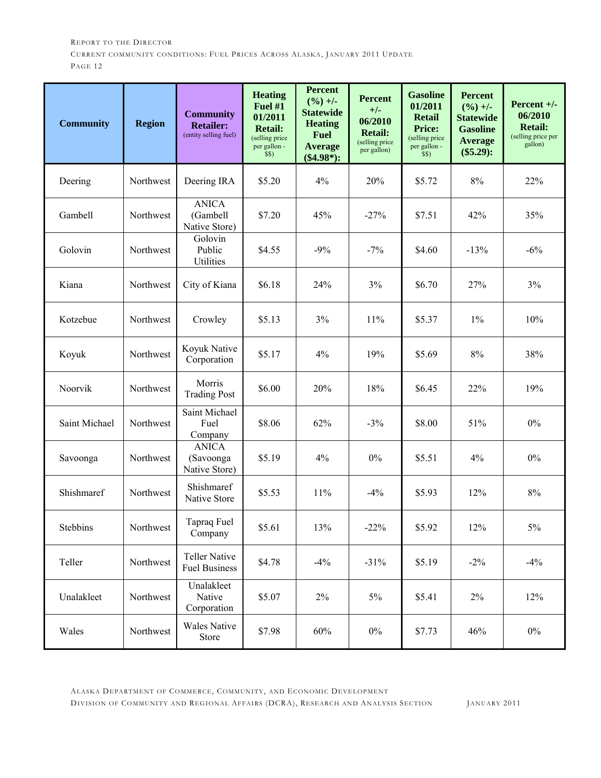| <b>Community</b> | <b>Region</b> | <b>Community</b><br><b>Retailer:</b><br>(entity selling fuel) | <b>Heating</b><br>Fuel #1<br>01/2011<br><b>Retail:</b><br>(selling price<br>per gallon -<br>\$S) | <b>Percent</b><br>$(\frac{9}{6}) +$ -<br><b>Statewide</b><br><b>Heating</b><br><b>Fuel</b><br><b>Average</b><br>$(\$4.98^*):$ | <b>Percent</b><br>$+/-$<br>06/2010<br><b>Retail:</b><br>(selling price<br>per gallon) | <b>Gasoline</b><br>01/2011<br><b>Retail</b><br><b>Price:</b><br>(selling price<br>per gallon -<br>\$\$) | <b>Percent</b><br>$(\frac{9}{6}) +/-$<br><b>Statewide</b><br><b>Gasoline</b><br><b>Average</b><br>$(\$5.29):$ | Percent $+/-$<br>06/2010<br><b>Retail:</b><br>(selling price per<br>gallon) |
|------------------|---------------|---------------------------------------------------------------|--------------------------------------------------------------------------------------------------|-------------------------------------------------------------------------------------------------------------------------------|---------------------------------------------------------------------------------------|---------------------------------------------------------------------------------------------------------|---------------------------------------------------------------------------------------------------------------|-----------------------------------------------------------------------------|
| Deering          | Northwest     | Deering IRA                                                   | \$5.20                                                                                           | 4%                                                                                                                            | 20%                                                                                   | \$5.72                                                                                                  | $8\%$                                                                                                         | 22%                                                                         |
| Gambell          | Northwest     | <b>ANICA</b><br>(Gambell<br>Native Store)                     | \$7.20                                                                                           | 45%                                                                                                                           | $-27%$                                                                                | \$7.51                                                                                                  | 42%                                                                                                           | 35%                                                                         |
| Golovin          | Northwest     | Golovin<br>Public<br>Utilities                                | \$4.55                                                                                           | $-9%$                                                                                                                         | $-7%$                                                                                 | \$4.60                                                                                                  | $-13%$                                                                                                        | $-6%$                                                                       |
| Kiana            | Northwest     | City of Kiana                                                 | \$6.18                                                                                           | 24%                                                                                                                           | 3%                                                                                    | \$6.70                                                                                                  | 27%                                                                                                           | 3%                                                                          |
| Kotzebue         | Northwest     | Crowley                                                       | \$5.13                                                                                           | 3%                                                                                                                            | 11%                                                                                   | \$5.37                                                                                                  | $1\%$                                                                                                         | 10%                                                                         |
| Koyuk            | Northwest     | Koyuk Native<br>Corporation                                   | \$5.17                                                                                           | 4%                                                                                                                            | 19%                                                                                   | \$5.69                                                                                                  | 8%                                                                                                            | 38%                                                                         |
| Noorvik          | Northwest     | Morris<br><b>Trading Post</b>                                 | \$6.00                                                                                           | 20%                                                                                                                           | 18%                                                                                   | \$6.45                                                                                                  | 22%                                                                                                           | 19%                                                                         |
| Saint Michael    | Northwest     | Saint Michael<br>Fuel<br>Company                              | \$8.06                                                                                           | 62%                                                                                                                           | $-3%$                                                                                 | \$8.00                                                                                                  | 51%                                                                                                           | $0\%$                                                                       |
| Savoonga         | Northwest     | <b>ANICA</b><br>(Savoonga<br>Native Store)                    | \$5.19                                                                                           | 4%                                                                                                                            | $0\%$                                                                                 | \$5.51                                                                                                  | 4%                                                                                                            | $0\%$                                                                       |
| Shishmaref       | Northwest     | Shishmaref<br>Native Store                                    | \$5.53                                                                                           | 11%                                                                                                                           | $-4\%$                                                                                | \$5.93                                                                                                  | 12%                                                                                                           | $8\%$                                                                       |
| Stebbins         | Northwest     | Tapraq Fuel<br>Company                                        | \$5.61                                                                                           | 13%                                                                                                                           | $-22%$                                                                                | \$5.92                                                                                                  | 12%                                                                                                           | 5%                                                                          |
| Teller           | Northwest     | <b>Teller Native</b><br><b>Fuel Business</b>                  | \$4.78                                                                                           | $-4%$                                                                                                                         | $-31%$                                                                                | \$5.19                                                                                                  | $-2\%$                                                                                                        | $-4%$                                                                       |
| Unalakleet       | Northwest     | Unalakleet<br>Native<br>Corporation                           | \$5.07                                                                                           | 2%                                                                                                                            | 5%                                                                                    | \$5.41                                                                                                  | 2%                                                                                                            | 12%                                                                         |
| Wales            | Northwest     | <b>Wales Native</b><br>Store                                  | \$7.98                                                                                           | 60%                                                                                                                           | $0\%$                                                                                 | \$7.73                                                                                                  | 46%                                                                                                           | $0\%$                                                                       |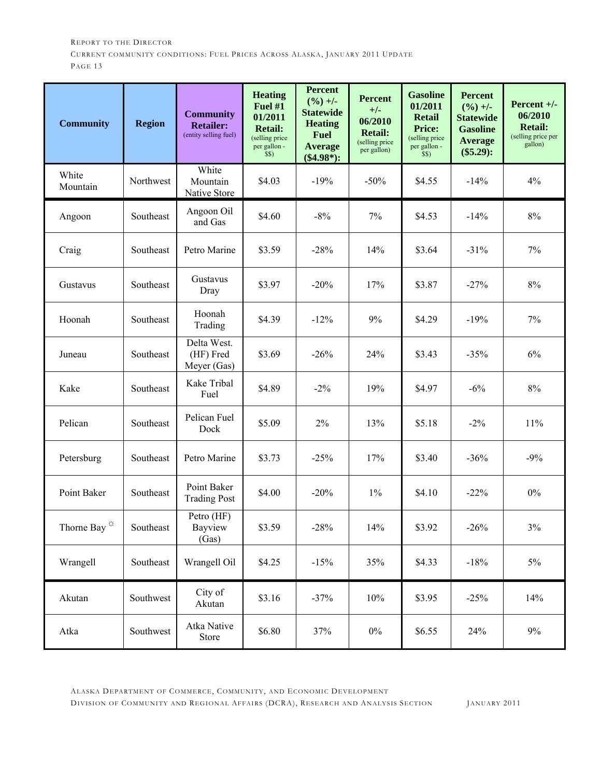| <b>Community</b>              | <b>Region</b> | <b>Community</b><br><b>Retailer:</b><br>(entity selling fuel) | <b>Heating</b><br>Fuel $#1$<br>01/2011<br><b>Retail:</b><br>(selling price<br>per gallon -<br>\$\$) | <b>Percent</b><br>$(9/0) +/-$<br><b>Statewide</b><br><b>Heating</b><br><b>Fuel</b><br><b>Average</b><br>$(\$4.98*)$ : | <b>Percent</b><br>$+/-$<br>06/2010<br><b>Retail:</b><br>(selling price<br>per gallon) | <b>Gasoline</b><br>01/2011<br><b>Retail</b><br><b>Price:</b><br>(selling price<br>per gallon -<br>\$\$) | <b>Percent</b><br>$(\frac{9}{6}) +$ /-<br><b>Statewide</b><br><b>Gasoline</b><br><b>Average</b><br>$(\$5.29):$ | Percent $+/-$<br>06/2010<br><b>Retail:</b><br>(selling price per<br>gallon) |
|-------------------------------|---------------|---------------------------------------------------------------|-----------------------------------------------------------------------------------------------------|-----------------------------------------------------------------------------------------------------------------------|---------------------------------------------------------------------------------------|---------------------------------------------------------------------------------------------------------|----------------------------------------------------------------------------------------------------------------|-----------------------------------------------------------------------------|
| White<br>Mountain             | Northwest     | White<br>Mountain<br>Native Store                             | \$4.03                                                                                              | $-19%$                                                                                                                | $-50%$                                                                                | \$4.55                                                                                                  | $-14%$                                                                                                         | 4%                                                                          |
| Angoon                        | Southeast     | Angoon Oil<br>and Gas                                         | \$4.60                                                                                              | $-8%$                                                                                                                 | 7%                                                                                    | \$4.53                                                                                                  | $-14%$                                                                                                         | $8\%$                                                                       |
| Craig                         | Southeast     | Petro Marine                                                  | \$3.59                                                                                              | $-28%$                                                                                                                | 14%                                                                                   | \$3.64                                                                                                  | $-31%$                                                                                                         | 7%                                                                          |
| Gustavus                      | Southeast     | Gustavus<br>Dray                                              | \$3.97                                                                                              | $-20%$                                                                                                                | 17%                                                                                   | \$3.87                                                                                                  | $-27%$                                                                                                         | $8\%$                                                                       |
| Hoonah                        | Southeast     | Hoonah<br>Trading                                             | \$4.39                                                                                              | $-12%$                                                                                                                | 9%                                                                                    | \$4.29                                                                                                  | $-19%$                                                                                                         | 7%                                                                          |
| Juneau                        | Southeast     | Delta West.<br>(HF) Fred<br>Meyer (Gas)                       | \$3.69                                                                                              | $-26%$                                                                                                                | 24%                                                                                   | \$3.43                                                                                                  | $-35%$                                                                                                         | 6%                                                                          |
| Kake                          | Southeast     | Kake Tribal<br>Fuel                                           | \$4.89                                                                                              | $-2\%$                                                                                                                | 19%                                                                                   | \$4.97                                                                                                  | $-6%$                                                                                                          | $8\%$                                                                       |
| Pelican                       | Southeast     | Pelican Fuel<br>Dock                                          | \$5.09                                                                                              | $2\%$                                                                                                                 | 13%                                                                                   | \$5.18                                                                                                  | $-2\%$                                                                                                         | 11%                                                                         |
| Petersburg                    | Southeast     | Petro Marine                                                  | \$3.73                                                                                              | $-25%$                                                                                                                | 17%                                                                                   | \$3.40                                                                                                  | $-36%$                                                                                                         | $-9%$                                                                       |
| Point Baker                   | Southeast     | Point Baker<br><b>Trading Post</b>                            | \$4.00                                                                                              | $-20%$                                                                                                                | $1\%$                                                                                 | \$4.10                                                                                                  | $-22%$                                                                                                         | $0\%$                                                                       |
| Thorne Bay $^\Leftrightarrow$ | Southeast     | Petro (HF)<br>Bayview<br>(Gas)                                | \$3.59                                                                                              | $-28%$                                                                                                                | 14%                                                                                   | \$3.92                                                                                                  | $-26%$                                                                                                         | 3%                                                                          |
| Wrangell                      | Southeast     | Wrangell Oil                                                  | \$4.25                                                                                              | $-15%$                                                                                                                | 35%                                                                                   | \$4.33                                                                                                  | $-18%$                                                                                                         | 5%                                                                          |
| Akutan                        | Southwest     | City of<br>Akutan                                             | \$3.16                                                                                              | $-37%$                                                                                                                | 10%                                                                                   | \$3.95                                                                                                  | $-25%$                                                                                                         | 14%                                                                         |
| Atka                          | Southwest     | Atka Native<br>Store                                          | \$6.80                                                                                              | 37%                                                                                                                   | $0\%$                                                                                 | \$6.55                                                                                                  | 24%                                                                                                            | 9%                                                                          |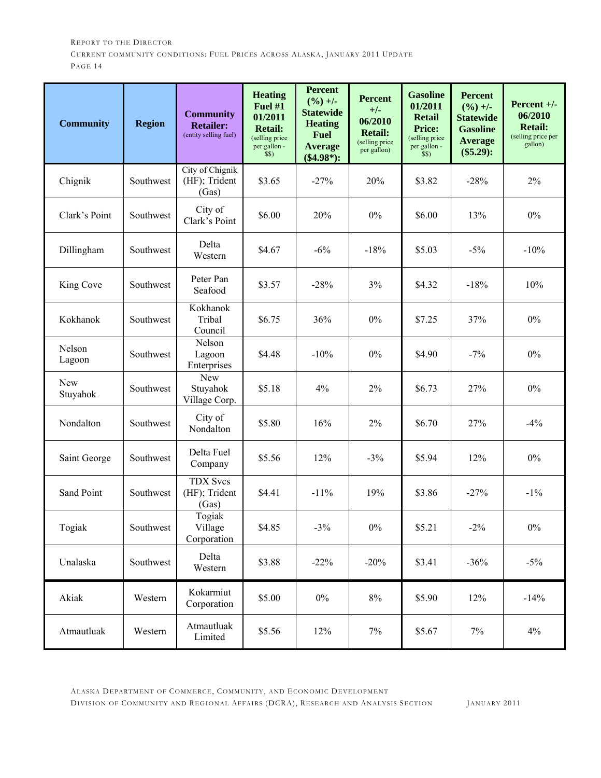| <b>Community</b> | <b>Region</b> | <b>Community</b><br><b>Retailer:</b><br>(entity selling fuel) | <b>Heating</b><br>Fuel #1<br>01/2011<br><b>Retail:</b><br>(selling price<br>per gallon -<br>\$\$) | <b>Percent</b><br>$(\frac{9}{6}) +$ -<br><b>Statewide</b><br><b>Heating</b><br><b>Fuel</b><br><b>Average</b><br>$(\$4.98^*):$ | <b>Percent</b><br>$+/-$<br>06/2010<br><b>Retail:</b><br>(selling price<br>per gallon) | <b>Gasoline</b><br>01/2011<br><b>Retail</b><br><b>Price:</b><br>(selling price<br>per gallon -<br>\$\$) | <b>Percent</b><br>$(\frac{9}{6}) +$ -<br><b>Statewide</b><br><b>Gasoline</b><br><b>Average</b><br>$(\$5.29):$ | Percent $+/-$<br>06/2010<br><b>Retail:</b><br>(selling price per<br>gallon) |
|------------------|---------------|---------------------------------------------------------------|---------------------------------------------------------------------------------------------------|-------------------------------------------------------------------------------------------------------------------------------|---------------------------------------------------------------------------------------|---------------------------------------------------------------------------------------------------------|---------------------------------------------------------------------------------------------------------------|-----------------------------------------------------------------------------|
| Chignik          | Southwest     | City of Chignik<br>(HF); Trident<br>(Gas)                     | \$3.65                                                                                            | $-27%$                                                                                                                        | 20%                                                                                   | \$3.82                                                                                                  | $-28%$                                                                                                        | $2\%$                                                                       |
| Clark's Point    | Southwest     | City of<br>Clark's Point                                      | \$6.00                                                                                            | 20%                                                                                                                           | $0\%$                                                                                 | \$6.00                                                                                                  | 13%                                                                                                           | $0\%$                                                                       |
| Dillingham       | Southwest     | Delta<br>Western                                              | \$4.67                                                                                            | $-6%$                                                                                                                         | $-18%$                                                                                | \$5.03                                                                                                  | $-5%$                                                                                                         | $-10%$                                                                      |
| King Cove        | Southwest     | Peter Pan<br>Seafood                                          | \$3.57                                                                                            | $-28%$                                                                                                                        | 3%                                                                                    | \$4.32                                                                                                  | $-18%$                                                                                                        | 10%                                                                         |
| Kokhanok         | Southwest     | Kokhanok<br>Tribal<br>Council                                 | \$6.75                                                                                            | 36%                                                                                                                           | $0\%$                                                                                 | \$7.25                                                                                                  | 37%                                                                                                           | $0\%$                                                                       |
| Nelson<br>Lagoon | Southwest     | Nelson<br>Lagoon<br>Enterprises                               | \$4.48                                                                                            | $-10%$                                                                                                                        | $0\%$                                                                                 | \$4.90                                                                                                  | $-7\%$                                                                                                        | $0\%$                                                                       |
| New<br>Stuyahok  | Southwest     | New<br>Stuyahok<br>Village Corp.                              | \$5.18                                                                                            | 4%                                                                                                                            | 2%                                                                                    | \$6.73                                                                                                  | 27%                                                                                                           | $0\%$                                                                       |
| Nondalton        | Southwest     | City of<br>Nondalton                                          | \$5.80                                                                                            | 16%                                                                                                                           | 2%                                                                                    | \$6.70                                                                                                  | 27%                                                                                                           | $-4%$                                                                       |
| Saint George     | Southwest     | Delta Fuel<br>Company                                         | \$5.56                                                                                            | 12%                                                                                                                           | $-3%$                                                                                 | \$5.94                                                                                                  | 12%                                                                                                           | $0\%$                                                                       |
| Sand Point       | Southwest     | <b>TDX Svcs</b><br>(HF); Trident<br>(Gas)                     | \$4.41                                                                                            | $-11%$                                                                                                                        | 19%                                                                                   | \$3.86                                                                                                  | $-27%$                                                                                                        | $-1\%$                                                                      |
| Togiak           | Southwest     | Togiak<br>Village<br>Corporation                              | \$4.85                                                                                            | $-3%$                                                                                                                         | $0\%$                                                                                 | \$5.21                                                                                                  | $-2\%$                                                                                                        | $0\%$                                                                       |
| Unalaska         | Southwest     | Delta<br>Western                                              | \$3.88                                                                                            | $-22%$                                                                                                                        | $-20%$                                                                                | \$3.41                                                                                                  | $-36%$                                                                                                        | $-5\%$                                                                      |
| Akiak            | Western       | Kokarmiut<br>Corporation                                      | \$5.00                                                                                            | $0\%$                                                                                                                         | $8\%$                                                                                 | \$5.90                                                                                                  | 12%                                                                                                           | $-14%$                                                                      |
| Atmautluak       | Western       | Atmautluak<br>Limited                                         | \$5.56                                                                                            | 12%                                                                                                                           | $7\%$                                                                                 | \$5.67                                                                                                  | 7%                                                                                                            | 4%                                                                          |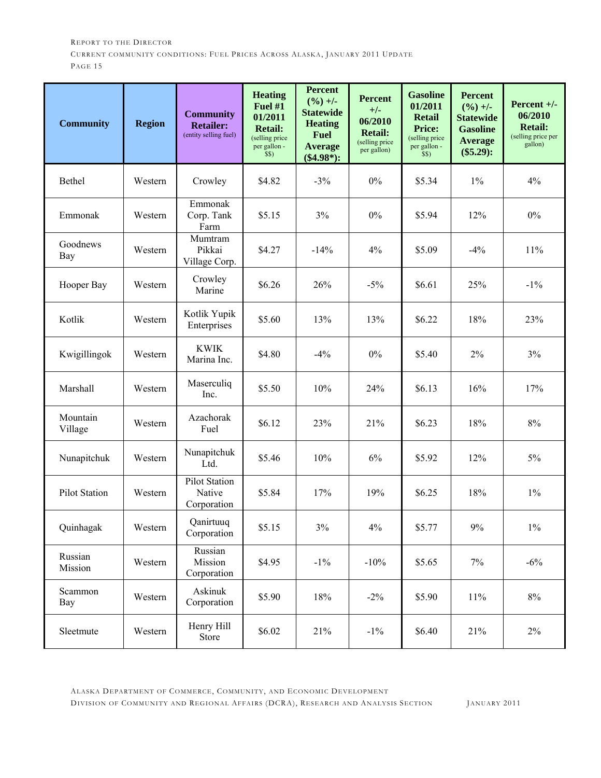| <b>Community</b>     | <b>Region</b> | <b>Community</b><br><b>Retailer:</b><br>(entity selling fuel) | <b>Heating</b><br><b>Fuel #1</b><br>01/2011<br><b>Retail:</b><br>(selling price<br>per gallon -<br>\$\$) | <b>Percent</b><br>$(\frac{9}{0}) +$ -<br><b>Statewide</b><br><b>Heating</b><br><b>Fuel</b><br><b>Average</b><br>$(\$4.98*)$ : | <b>Percent</b><br>$+/-$<br>06/2010<br><b>Retail:</b><br>(selling price<br>per gallon) | <b>Gasoline</b><br>01/2011<br><b>Retail</b><br><b>Price:</b><br>(selling price<br>per gallon -<br>\$\$) | <b>Percent</b><br>$(\frac{9}{6}) +/-$<br><b>Statewide</b><br><b>Gasoline</b><br><b>Average</b><br>$(\$5.29):$ | Percent $+/-$<br>06/2010<br><b>Retail:</b><br>(selling price per<br>gallon) |
|----------------------|---------------|---------------------------------------------------------------|----------------------------------------------------------------------------------------------------------|-------------------------------------------------------------------------------------------------------------------------------|---------------------------------------------------------------------------------------|---------------------------------------------------------------------------------------------------------|---------------------------------------------------------------------------------------------------------------|-----------------------------------------------------------------------------|
| Bethel               | Western       | Crowley                                                       | \$4.82                                                                                                   | $-3%$                                                                                                                         | $0\%$                                                                                 | \$5.34                                                                                                  | $1\%$                                                                                                         | 4%                                                                          |
| Emmonak              | Western       | Emmonak<br>Corp. Tank<br>Farm                                 | \$5.15                                                                                                   | 3%                                                                                                                            | $0\%$                                                                                 | \$5.94                                                                                                  | 12%                                                                                                           | $0\%$                                                                       |
| Goodnews<br>Bay      | Western       | Mumtram<br>Pikkai<br>Village Corp.                            | \$4.27                                                                                                   | $-14%$                                                                                                                        | 4%                                                                                    | \$5.09                                                                                                  | $-4%$                                                                                                         | 11%                                                                         |
| Hooper Bay           | Western       | Crowley<br>Marine                                             | \$6.26                                                                                                   | 26%                                                                                                                           | $-5%$                                                                                 | \$6.61                                                                                                  | 25%                                                                                                           | $-1\%$                                                                      |
| Kotlik               | Western       | Kotlik Yupik<br>Enterprises                                   | \$5.60                                                                                                   | 13%                                                                                                                           | 13%                                                                                   | \$6.22                                                                                                  | 18%                                                                                                           | 23%                                                                         |
| Kwigillingok         | Western       | <b>KWIK</b><br>Marina Inc.                                    | \$4.80                                                                                                   | $-4%$                                                                                                                         | $0\%$                                                                                 | \$5.40                                                                                                  | 2%                                                                                                            | 3%                                                                          |
| Marshall             | Western       | Maserculiq<br>Inc.                                            | \$5.50                                                                                                   | 10%                                                                                                                           | 24%                                                                                   | \$6.13                                                                                                  | 16%                                                                                                           | 17%                                                                         |
| Mountain<br>Village  | Western       | Azachorak<br>Fuel                                             | \$6.12                                                                                                   | 23%                                                                                                                           | 21%                                                                                   | \$6.23                                                                                                  | 18%                                                                                                           | $8\%$                                                                       |
| Nunapitchuk          | Western       | Nunapitchuk<br>Ltd.                                           | \$5.46                                                                                                   | 10%                                                                                                                           | 6%                                                                                    | \$5.92                                                                                                  | 12%                                                                                                           | $5\%$                                                                       |
| <b>Pilot Station</b> | Western       | <b>Pilot Station</b><br>Native<br>Corporation                 | \$5.84                                                                                                   | 17%                                                                                                                           | 19%                                                                                   | \$6.25                                                                                                  | 18%                                                                                                           | $1\%$                                                                       |
| Quinhagak            | Western       | Qanirtuuq<br>Corporation                                      | \$5.15                                                                                                   | 3%                                                                                                                            | 4%                                                                                    | \$5.77                                                                                                  | 9%                                                                                                            | $1\%$                                                                       |
| Russian<br>Mission   | Western       | Russian<br>Mission<br>Corporation                             | \$4.95                                                                                                   | $-1\%$                                                                                                                        | $-10%$                                                                                | \$5.65                                                                                                  | 7%                                                                                                            | $-6\%$                                                                      |
| Scammon<br>Bay       | Western       | Askinuk<br>Corporation                                        | \$5.90                                                                                                   | 18%                                                                                                                           | $-2\%$                                                                                | \$5.90                                                                                                  | 11%                                                                                                           | $8\%$                                                                       |
| Sleetmute            | Western       | Henry Hill<br>Store                                           | \$6.02                                                                                                   | 21%                                                                                                                           | $-1\%$                                                                                | \$6.40                                                                                                  | 21%                                                                                                           | $2\%$                                                                       |